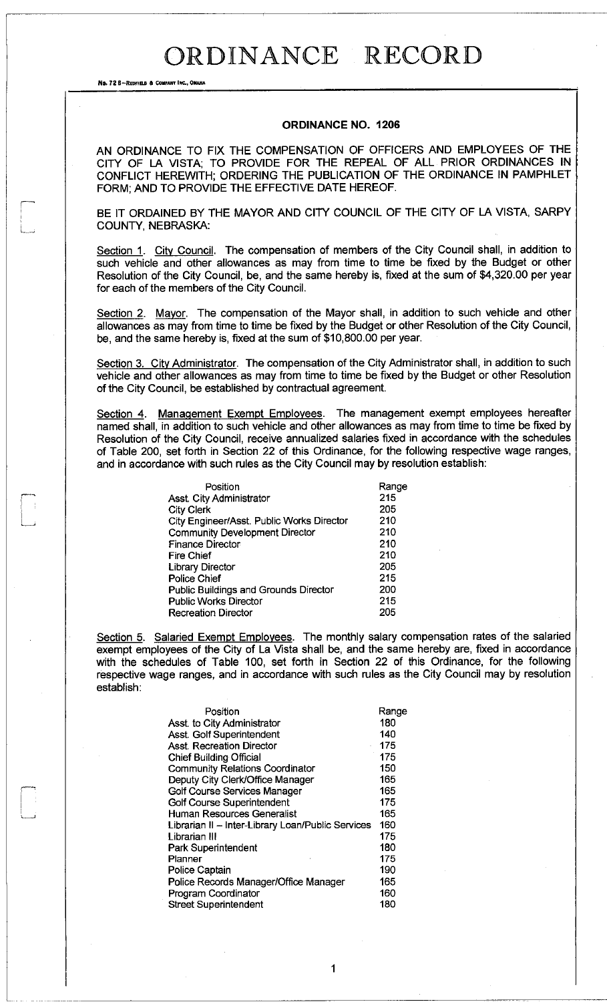No. 72 B-REDFIELD & COMPANY INC., OHAHA

#### **ORDINANCE NO. 1206**

AN ORDINANCE TO FIX THE COMPENSATION OF OFFICERS AND EMPLOYEES OF THE CITY OF LA VISTA; TO PROVIDE FOR THE REPEAL OF ALL PRIOR ORDINANCES IN CONFLICT HEREWITH; ORDERING THE PUBLICATION OF THE ORDINANCE IN PAMPHLET FORM; AND TO PROVIDE THE EFFECTIVE DATE HEREOF.

BE IT ORDAINED BY THE MAYOR AND CITY COUNCIL OF THE CITY OF LA VISTA, SARPY COUNTY, NEBRASKA:

Section 1. City Council. The compensation of members of the City Council shall, in addition to such vehicle and other allowances as may from time to time be fixed by the Budget or other Resolution of the City Council, be, and the same hereby is, fixed at the sum of \$4,320.00 per year for each of the members of the City Council.

Section 2. Mayor. The compensation of the Mayor shall, in addition to such vehicle and other allowances as may from time to time be fixed by the Budget or other Resolution of the City Council, be, and the same hereby is, fixed at the sum of \$10,800.00 per year.

Section 3. City Administrator. The compensation of the City Administrator shall, in addition to such vehicle and other allowances as may from time to time be fixed by the Budget or other Resolution of the City Council, be established by contractual agreement.

Section 4. Management Exempt Employees. The management exempt employees hereafter named shall, in addition to such vehicle and other allowances as may from time to time be fixed by Resolution of the City Council, receive annualized salaries fixed in accordance with the schedules of Table 200, set forth in Section 22 of this Ordinance, for the following respective wage ranges, and in accordance with such rules as the City Council may by resolution establish:

| Position                                     | Range |
|----------------------------------------------|-------|
| Asst. City Administrator                     | 215   |
| <b>City Clerk</b>                            | 205   |
| City Engineer/Asst. Public Works Director    | 210   |
| <b>Community Development Director</b>        | 210   |
| <b>Finance Director</b>                      | 210   |
| <b>Fire Chief</b>                            | 210   |
| <b>Library Director</b>                      | 205   |
| Police Chief                                 | 215   |
| <b>Public Buildings and Grounds Director</b> | 200   |
| <b>Public Works Director</b>                 | 215   |
| <b>Recreation Director</b>                   | 205   |

Section 5. Salaried Exempt Employees. The monthly salary compensation rates of the salaried exempt employees of the City of La Vista shall be, and the same hereby are, fixed in accordance with the schedules of Table 100, set forth in Section 22 of this Ordinance, for the following respective wage ranges, and in accordance with such rules as the City Council may by resolution establish:

1

| Position                                          | Range |
|---------------------------------------------------|-------|
| Asst. to City Administrator                       | 180   |
| Asst. Golf Superintendent                         | 140   |
| <b>Asst. Recreation Director</b>                  | 175   |
| <b>Chief Building Official</b>                    | 175   |
| <b>Community Relations Coordinator</b>            | 150   |
| Deputy City Clerk/Office Manager                  | 165   |
| Golf Course Services Manager                      | 165   |
| Golf Course Superintendent                        | 175   |
| Human Resources Generalist                        | 165   |
| Librarian II - Inter-Library Loan/Public Services | 160   |
| I ibrarian III                                    | 175   |
| Park Superintendent                               | 180   |
| Planner                                           | 175   |
| <b>Police Captain</b>                             | 190   |
| Police Records Manager/Office Manager             | 165   |
| Program Coordinator                               | 160   |
| <b>Street Superintendent</b>                      | 180   |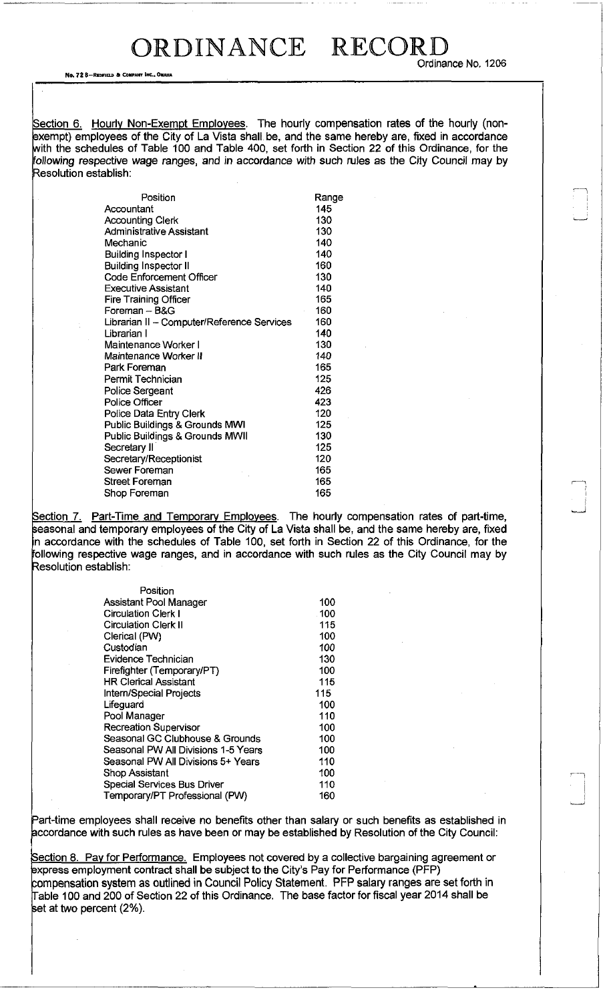Ordinance No, 1206

No. 72 8—REDHELD a COMPANY INC.. OMAHA

Section 6. Hourly Non-Exempt Employees. The hourly compensation rates of the hourly (nonexempt) employees of the City of La Vista shall be, and the same hereby are, fixed in accordance with the schedules of Table 100 and Table 400, set forth in Section 22 of this Ordinance, for the following respective wage ranges, and in accordance with such rules as the City Council may by Resolution establish:

| Position                                   | Range |
|--------------------------------------------|-------|
| Accountant                                 | 145   |
| <b>Accounting Clerk</b>                    | 130   |
| <b>Administrative Assistant</b>            | 130   |
| Mechanic                                   | 140   |
| <b>Building Inspector I</b>                | 140   |
| <b>Building Inspector II</b>               | 160   |
| <b>Code Enforcement Officer</b>            | 130   |
| <b>Executive Assistant</b>                 | 140   |
| <b>Fire Training Officer</b>               | 165   |
| Foreman - B&G                              | 160   |
| Librarian II - Computer/Reference Services | 160   |
| Librarian I                                | 140   |
| Maintenance Worker I                       | 130   |
| Maintenance Worker II                      | 140   |
| Park Foreman                               | 165   |
| Permit Technician                          | 125   |
| <b>Police Sergeant</b>                     | 426   |
| <b>Police Officer</b>                      | 423   |
| Police Data Entry Clerk                    | 120   |
| Public Buildings & Grounds MWI             | 125   |
| Public Buildings & Grounds MWII            | 130   |
| Secretary II                               | 125   |
| Secretary/Receptionist                     | 120   |
| Sewer Foreman                              | 165   |
| Street Foreman                             | 165   |
| Shop Foreman                               | 165   |

Section 7. Part-Time and Temporary Employees. The hourly compensation rates of part-time, seasonal and temporary employees of the City of La Vista shall be, and the same hereby are, fixed n accordance with the schedules of Table 100, set forth in Section 22 of this Ordinance, for the following respective wage ranges, and in accordance with such rules as the City Council may by Resolution establish:

| Position                            |      |
|-------------------------------------|------|
| Assistant Pool Manager              | 100  |
| <b>Circulation Clerk I</b>          | .100 |
| <b>Circulation Clerk II</b>         | 115  |
| Clerical (PW)                       | 100  |
| Custodian                           | 100  |
| Evidence Technician                 | 130  |
| Firefighter (Temporary/PT)          | 100  |
| HR Clerical Assistant               | 115  |
| Intern/Special Projects             | 115  |
| Lifeguard                           | 100  |
| Pool Manager                        | 110  |
| <b>Recreation Supervisor</b>        | 100  |
| Seasonal GC Clubhouse & Grounds     | 100  |
| Seasonal PW All Divisions 1-5 Years | 100  |
| Seasonal PW All Divisions 5+ Years  | 110  |
| Shop Assistant                      | 100  |
| Special Services Bus Driver         | 110  |
| Temporary/PT Professional (PW)      | 160  |

Part-time employees shall receive no benefits other than salary or such benefits as established in accordance with such rules as have been or may be established by Resolution of the City Council:

Section 8. Pay for Performance. Employees not covered by a collective bargaining agreement or express employment contract shall be subject to the City's Pay for Performance (PFP) compensation system as outlined in Council Policy Statement. PFP salary ranges are set forth in Table 100 and 200 of Section 22 of this Ordinance. The base factor for fiscal year 2014 shall be set at two percent (2%).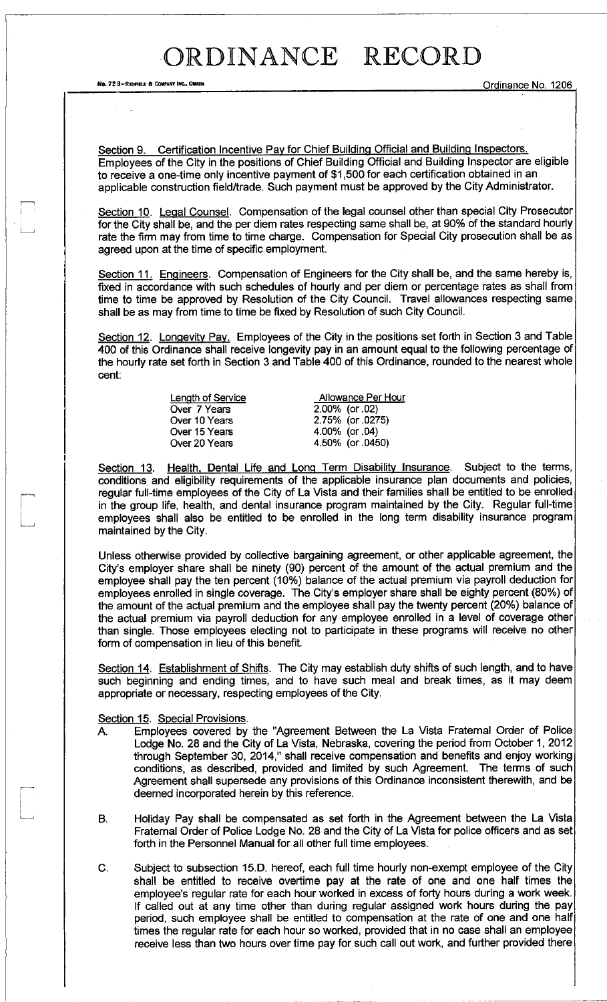No. 72 8-Repried a company inc., Omaha Company inc., Omaha Company inc., Online of the Company of Company inc., Ordinance No. 1206

Section 9. Certification Incentive Pav for Chief Building Official and Building Inspectors. Employees of the City in the positions of Chief Building Official and Building Inspector are eligible to receive a one-time only incentive payment of \$1,500 for each certification obtained in an applicable construction field/trade. Such payment must be approved by the City Administrator.

Section 10. Legal Counsel. Compensation of the legal counsel other than special City Prosecutor for the City shall be, and the per diem rates respecting same shall be, at 90% of the standard hourly rate the firm may from time to time charge. Compensation for Special City prosecution shall be as agreed upon at the time of specific employment.

Section 11. Engineers. Compensation of Engineers for the City shall be, and the same hereby is, fixed in accordance with such schedules of hourly and per diem or percentage rates as shall from time to time be approved by Resolution of the City Council. Travel allowances respecting same shall be as may from time to time be fixed by Resolution of such City Council.

Section 12. Longevity Pay. Employees of the City in the positions set forth in Section 3 and Table 400 of this Ordinance shall receive longevity pay in an amount equal to the following percentage of the hourly rate set forth in Section 3 and Table 400 of this Ordinance, rounded to the nearest whole cent:

> Over 7 Years Over 10 Years Over 15 Years Over 20 Years

Length of Service **Allowance Per Hour** 2.00% (or .02) 2.75% (or .0275) 4.00% (or .04) 4.50% (or .0450)

Section 13. Health, Dental Life and Long Term Disability Insurance. Subject to the terms, conditions and eligibility requirements of the applicable insurance plan documents and policies, regular full-time employees of the City of La Vista and their families shall be entitled to be enrolled in the group life, health, and dental insurance program maintained by the City. Regular full-time employees shall also be entitled to be enrolled in the long term disability insurance program maintained by the City.

Unless otherwise provided by collective bargaining agreement, or other applicable agreement, the City's employer share shall be ninety (90) percent of the amount of the actual premium and the employee shall pay the ten percent (10%) balance of the actual premium via payroll deduction for employees enrolled in single coverage. The City's employer share shall be eighty percent (80%) of the amount of the actual premium and the employee shall pay the twenty percent (20%) balance of the actual premium via payroll deduction for any employee enrolled in a level of coverage other than single. Those employees electing not to participate in these programs will receive no other form of compensation in lieu of this benefit.

Section 14. Establishment of Shifts. The City may establish duty shifts of such length, and to have such beginning and ending times, and to have such meal and break times, as it may deem appropriate or necessary, respecting employees of the City.

#### Section 15. Special Provisions.

- A. Employees covered by the "Agreement Between the La Vista Fraternal Order of Police Lodge No. 28 and the City of La Vista, Nebraska, covering the period from October 1, 2012 through September 30, 2014," shall receive compensation and benefits and enjoy working conditions, as described, provided and limited by such Agreement. The terms of such Agreement shall supersede any provisions of this Ordinance inconsistent therewith, and be deemed incorporated herein by this reference.
- B. Holiday Pay shall be compensated as set forth in the Agreement between the La Vista Fraternal Order of Police Lodge No. 28 and the City of La Vista for police officers and as set forth in the Personnel Manual for all other full time employees.
- C. Subject to subsection 15.D. hereof, each full time hourly non-exempt employee of the City shall be entitled to receive overtime pay at the rate of one and one half times the employee's regular rate for each hour worked in excess of forty hours during a work week. If called out at any time other than during regular assigned work hours during the pay period, such employee shall be entitled to compensation at the rate of one and one half times the regular rate for each hour so worked, provided that in no case shall an employee receive less than two hours over time pay for such call out work, and further provided there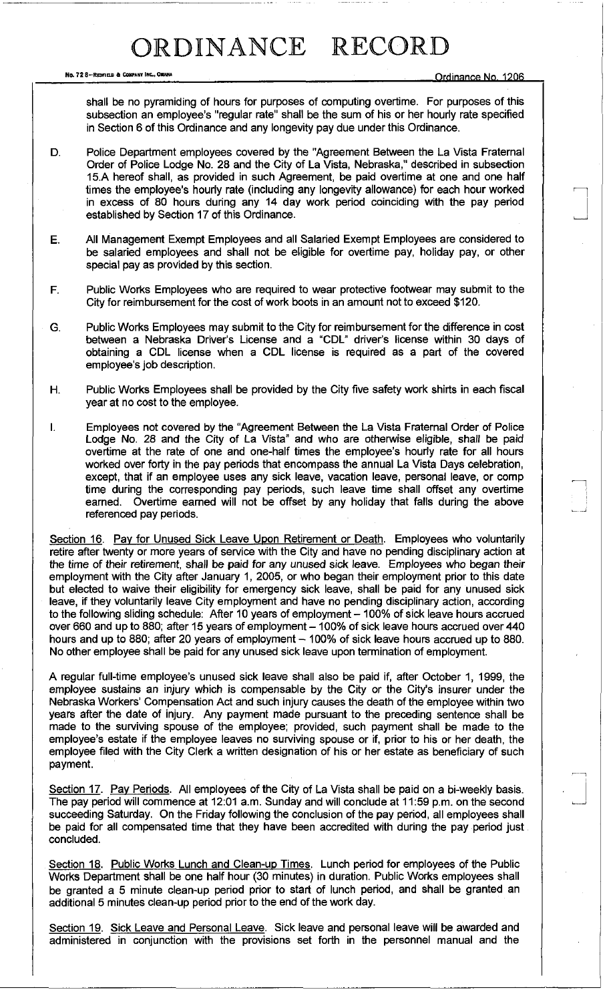No. 72 8-Repries & Company Inc., Onahia . nr Hinanni No. 1206

shall be no pyramiding of hours for purposes of computing overtime. For purposes of this subsection an employee's "regular rate" shall be the sum of his or her hourly rate specified in Section 6 of this Ordinance and any longevity pay due under this Ordinance.

- D. Police Department employees covered by the "Agreement Between the La Vista Fraternal Order of Police Lodge No. 28 and the City of La Vista, Nebraska," described in subsection 15A hereof shall, as provided in such Agreement, be paid overtime at one and one half times the employee's hourly rate (including any longevity allowance) for each hour worked in excess of 80 hours during any 14 day work period coinciding with the pay period established by Section 17 of this Ordinance.
- E. All Management Exempt Employees and all Salaried Exempt Employees are considered to be salaried employees and shall not be eligible for overtime pay, holiday pay, or other special pay as provided by this section.
- F. Public Works Employees who are required to wear protective footwear may submit to the City for reimbursement for the cost of work boots in an amount not to exceed \$120.
- G. Public Works Employees may submit to the City for reimbursement for the difference in cost between a Nebraska Driver's License and a "CDL" driver's license within 30 days of obtaining a CDL license when a CDL license is required as a part of the covered employee's job description.
- H. Public Works Employees shall be provided by the City five safety work shirts in each fiscal year at no cost to the employee.
- I. Employees not covered by the "Agreement Between the La Vista Fraternal Order of Police Lodge No. 28 and the City of La Vista" and who are otherwise eligible, shall be paid overtime at the rate of one and one-half times the employee's hourly rate for all hours worked over forty in the pay periods that encompass the annual La Vista Days celebration, except, that if an employee uses any sick leave, vacation leave, personal leave, or comp time during the corresponding pay periods, such leave time shall offset any overtime earned. Overtime earned will not be offset by any holiday that falls during the above referenced pay periods.

Section 16. Pay for Unused Sick Leave Upon Retirement or Death. Employees who voluntarily retire after twenty or more years of service with the City and have no pending disciplinary action at the time of their retirement, shall be paid for any unused sick leave. Employees who began their employment with the City after January 1, 2005, or who began their employment prior to this date but elected to waive their eligibility for emergency sick leave, shall be paid for any unused sick leave, if they voluntarily leave City employment and have no pending disciplinary action, according to the following sliding schedule: After 10 years of employment - 100% of sick leave hours accrued over 660 and up to 880; after 15 years of employment - 100% of sick leave hours accrued over 440 hours and up to 880; after 20 years of employment - 100% of sick leave hours accrued up to 880. No other employee shall be paid for any unused sick leave upon termination of employment.

A regular full-time employee's unused sick leave shall also be paid if, after October 1, 1999, the employee sustains an injury which is compensable by the City or the City's insurer under the Nebraska Workers' Compensation Act and such injury causes the death of the employee within two years after the date of injury. Any payment made pursuant to the preceding sentence shall be made to the surviving spouse of the employee; provided, such payment shall be made to the employee's estate if the employee leaves no surviving spouse or if, prior to his or her death, the employee filed with the City Clerk a written designation of his or her estate as beneficiary of such payment.

Section 17. Pay Periods. All employees of the City of La Vista shall be paid on a bi-weekly basis. The pay period will commence at 12:01 a.m. Sunday and will conclude at 11:59 p.m. on the second succeeding Saturday. On the Friday following the conclusion of the pay period, all employees shall be paid for all compensated time that they have been accredited with during the pay period just concluded.

Section 18. Public Works Lunch and Clean-up Times. Lunch period for employees of the Public Works Department shall be one half hour (30 minutes) in duration. Public Works employees shall be granted a 5 minute clean-up period prior to start of lunch period, and shall be granted an additional 5 minutes clean-up period prior to the end of the work day.

Section 19. Sick Leave and Personal Leave. Sick leave and personal leave will be awarded and administered in conjunction with the provisions set forth in the personnel manual and the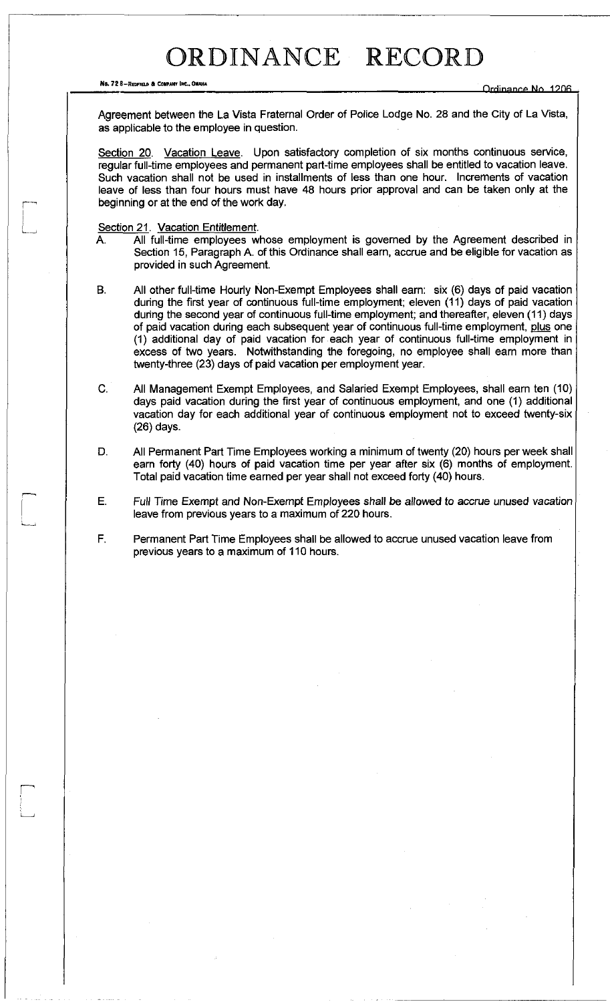No. 72 8-REDFIELD & COMPANY INC., OMAHA

Agreement between the La Vista Fraternal Order of Police Lodge No. 28 and the City of La Vista, as applicable to the employee in question.

Section 20. Vacation Leave. Upon satisfactory completion of six months continuous service, regular full-time employees and permanent part-time employees shall be entitled to vacation leave. Such vacation shall not be used in installments of less than one hour. Increments of vacation leave of less than four hours must have 48 hours prior approval and can be taken only at the beginning or at the end of the work day.

Section 21. Vacation Entitlement.

 $\mathbb{H}$ 

- A. All full-time employees whose employment is governed by the Agreement described in Section 15, Paragraph A. of this Ordinance shall earn, accrue and be eligible for vacation as provided in such Agreement.
- B. All other full-time Hourly Non-Exempt Employees shall earn: six (6) days of paid vacation during the first year of continuous full-time employment; eleven (11) days of paid vacation during the second year of continuous full-time employment; and thereafter, eleven (11) days of paid vacation during each subsequent year of continuous full-time employment, plus one (1) additional day of paid vacation for each year of continuous full-time employment in excess of two years. Notwithstanding the foregoing, no employee shall earn more than twenty-three (23) days of paid vacation per employment year.
- C. All Management Exempt Employees, and Salaried Exempt Employees, shall earn ten (10) days paid vacation during the first year of continuous employment, and one (1) additional vacation day for each additional year of continuous employment not to exceed twenty-six (26) days.
- D. All Permanent Part Time Employees working a minimum of twenty (20) hours per week shall earn forty (40) hours of paid vacation time per year after six (6) months of employment. Total paid vacation time earned per year shall not exceed forty (40) hours.
- E. Full Time Exempt and Non-Exempt Employees shall be allowed to accrue unused vacation leave from previous years to a maximum of 220 hours.
- F. Permanent Part Time Employees shall be allowed to accrue unused vacation leave from previous years to a maximum of 110 hours.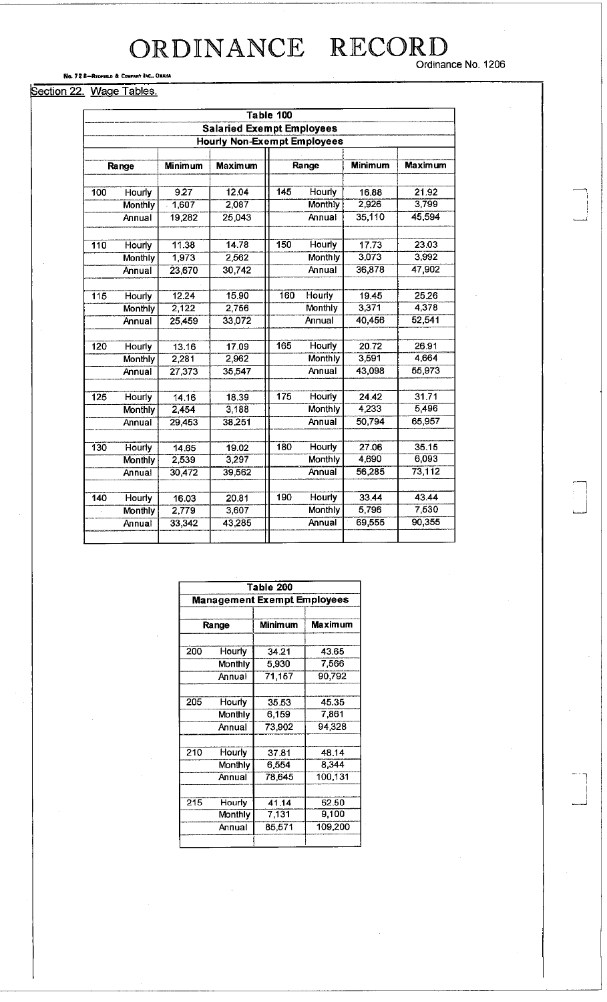Ordinance No. 1206

No. 72 8-REDFIELD & COMPANY INC., OMAHA

#### Section 22. Wage Tables.

|                  | Table 100                          |         |                                  |                  |                |                |         |  |
|------------------|------------------------------------|---------|----------------------------------|------------------|----------------|----------------|---------|--|
|                  |                                    |         | <b>Salaried Exempt Employees</b> |                  |                |                |         |  |
|                  | <b>Hourly Non-Exempt Employees</b> |         |                                  |                  |                |                |         |  |
|                  |                                    |         |                                  |                  |                |                |         |  |
|                  | Range                              | Minimum | <b>Maximum</b>                   | Range            |                | <b>Minimum</b> | Maximum |  |
| 100              |                                    | 9.27    | 12.04                            | $\overline{145}$ | Hourly         | 16.88          | 21.92   |  |
|                  | Hourly                             | 1,607   | 2,087                            |                  | Monthly        | 2,926          | 3,799   |  |
|                  | <b>Monthly</b>                     |         |                                  |                  |                |                |         |  |
|                  | Annual                             | 19,282  | 25,043                           |                  | Annual         | 35,110         | 45,594  |  |
| $\overline{110}$ | Hourly                             | 11.38   | 14.78                            | 150              | <b>Hourly</b>  | 17.73          | 23.03   |  |
|                  | Monthly                            | 1,973   | 2,562                            |                  | Monthly        | 3,073          | 3,992   |  |
|                  | Annual                             | 23,670  | 30,742                           |                  | Annual         | 36,878         | 47,902  |  |
|                  |                                    |         |                                  |                  |                |                |         |  |
| 115              | <b>Hourly</b>                      | 12.24   | 15.90                            | 160              | Hourly         | 19.45          | 25.26   |  |
|                  | Monthly                            | 2,122   | 2,756                            |                  | Monthly        | 3,371          | 4,378   |  |
|                  | Annual                             | 25 459  | 33,072                           |                  | Annual         | 40,456         | 52,541  |  |
|                  |                                    |         |                                  |                  |                |                |         |  |
| 120              | Hourly                             | 13.16   | 17.09                            | 165              | Hourly         | 20.72          | 26.91   |  |
|                  | Monthly                            | 2,281   | 2,962                            |                  | Monthly        | 3,591          | 4,664   |  |
|                  | Annual                             | 27,373  | 35,547                           |                  | Annual         | 43,098         | 55,973  |  |
| $\overline{125}$ | <b>Hourly</b>                      | 14.16   | 18.39                            | $\overline{175}$ | <b>Hourly</b>  | 24.42          | 31.71   |  |
|                  | Monthly                            | 2,454   | 3,188                            |                  | Monthly        | 4,233          | 5,496   |  |
|                  | Annual                             | 29,453  | 38,251                           |                  | Annual         | 50,794         | 65,957  |  |
|                  |                                    |         |                                  |                  |                |                |         |  |
| 130              | Hourly                             | 14.65   | 19.02                            | 180              | Hourly         | 27.06          | 35.15   |  |
|                  | <b>Monthly</b>                     | 2,539   | 3,297                            |                  | Monthly        | 4,690          | 6,093   |  |
|                  | Annual                             | 30,472  | 39,562                           |                  | Annual         | 56,285         | 73,112  |  |
| 140              | <b>Hourly</b>                      |         | 20.81                            | 190              | Hourly         | 33.44          | 43.44   |  |
|                  |                                    | 16.03   |                                  |                  | <b>Monthly</b> | 5,796          | 7,530   |  |
|                  | <b>Monthly</b>                     | 2,779   | 3,607                            |                  |                |                | 90,355  |  |
|                  | Annual                             | 33,342  | 43,285                           |                  | Annual         | 69,555         |         |  |
|                  |                                    |         |                                  |                  |                |                |         |  |

|                                    | Table 200 |         |                |  |  |
|------------------------------------|-----------|---------|----------------|--|--|
| <b>Management Exempt Employees</b> |           |         |                |  |  |
|                                    |           |         |                |  |  |
|                                    | Range     | Minimum | <b>Maximum</b> |  |  |
|                                    |           |         |                |  |  |
| 200                                | Hourly    | 34.21   | 43.65          |  |  |
|                                    | Monthly   | 5.930   | 7,566          |  |  |
|                                    | Annual    | 71,157  | 90,792         |  |  |
|                                    |           |         |                |  |  |
| 205                                | Hourly    | 35.53   | 45.35          |  |  |
|                                    | Monthly   | 6,159   | 7,861          |  |  |
|                                    | Annual    | 73,902  | 94,328         |  |  |
|                                    |           |         |                |  |  |
| 210                                | Hourly    | 37.81   | 48.14          |  |  |
|                                    | Monthly   | 6,554   | 8,344          |  |  |
|                                    | Annual    | 78,645  | 100,131        |  |  |
|                                    |           |         |                |  |  |
| 215                                | Hourly    | 41 14   | 52.50          |  |  |
|                                    | Monthly   | 7,131   | 9,100          |  |  |
|                                    | Annual    | 85,571  | 109,200        |  |  |
|                                    |           |         |                |  |  |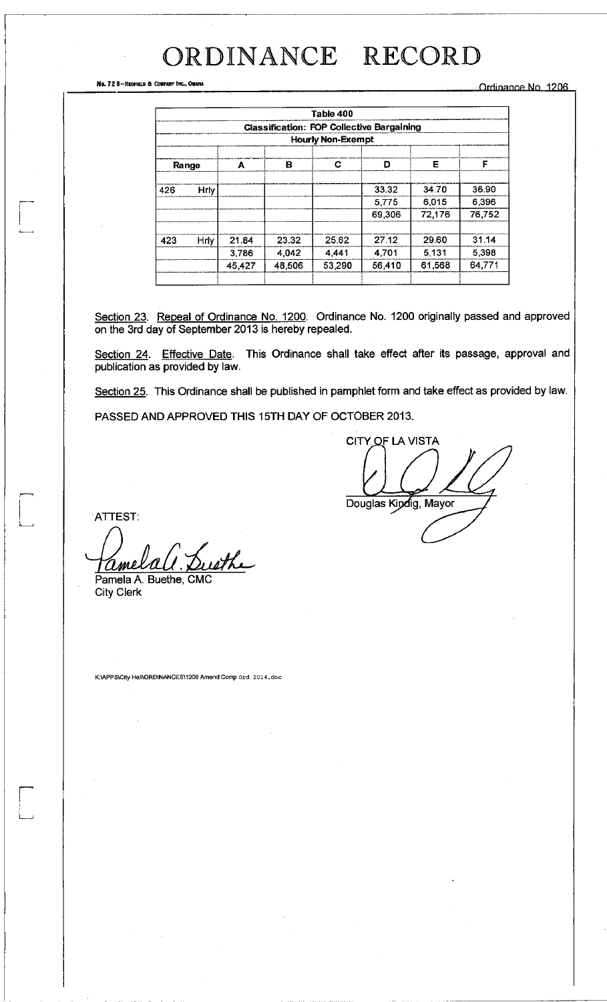No. 72 B-REDFIELD & COMPANY INC., OMAHA **ORTHUGHLAND COMPANY INC.** ORIGINAL **Ordinance** No. 1206

|                                                  | Table 400                |        |        |        |        |        |        |  |
|--------------------------------------------------|--------------------------|--------|--------|--------|--------|--------|--------|--|
| <b>Classification: FOP Collective Bargaining</b> |                          |        |        |        |        |        |        |  |
|                                                  | <b>Hourly Non-Exempt</b> |        |        |        |        |        |        |  |
| Range                                            |                          | A      | в      | С      | D      | Е      | F      |  |
| 426                                              | Hrly                     |        |        |        | 33.32  | 34.70  | 36.90  |  |
|                                                  |                          |        |        |        | 5775   | 6.015  | 6.396  |  |
|                                                  |                          |        |        |        | 69,306 | 72,176 | 76,752 |  |
| 423                                              | <b>Hrly</b>              | 21.84  | 23.32  | 25.62  | 27.12  | 29.60  | 31.14  |  |
|                                                  |                          | 3.786  | 4,042  | 4.441  | 4.701  | 5,131  | 5,398  |  |
|                                                  |                          | 45,427 | 48,506 | 53.290 | 56,410 | 61,568 | 64.771 |  |
|                                                  |                          |        |        |        |        |        |        |  |

Section 23. Repeal of Ordinance No. 1200. Ordinance No. 1200 originally passed and approved on the 3rd day of September 2013 is hereby repealed.

Section 24. Effective Date. This Ordinance shall take effect after its passage, approval and publication as provided by law.

Section 25. This Ordinance shall be published in pamphlet form and take effect as provided by law.

PASSED AND APPROVED THIS 15TH DAY OF OCTOBER 2013.

CITY OF LA VISTA Douglas Kindig, Mayor

ATTEST:

Susthe amel Pamela A. Buethe, CMC

City Clerk

K:\APPS\City Hall\ORDINANCESM206Amend Comp ord 2014.doc